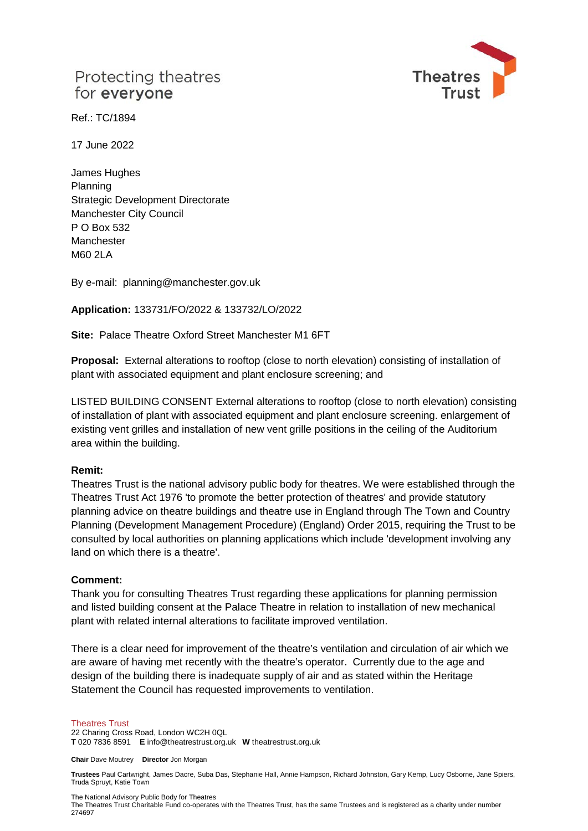# Protecting theatres for everyone



Ref.: TC/1894

17 June 2022

James Hughes Planning Strategic Development Directorate Manchester City Council P O Box 532 Manchester M60 2LA

By e-mail: planning@manchester.gov.uk

**Application:** 133731/FO/2022 & 133732/LO/2022

**Site:** Palace Theatre Oxford Street Manchester M1 6FT

**Proposal:** External alterations to rooftop (close to north elevation) consisting of installation of plant with associated equipment and plant enclosure screening; and

LISTED BUILDING CONSENT External alterations to rooftop (close to north elevation) consisting of installation of plant with associated equipment and plant enclosure screening. enlargement of existing vent grilles and installation of new vent grille positions in the ceiling of the Auditorium area within the building.

### **Remit:**

Theatres Trust is the national advisory public body for theatres. We were established through the Theatres Trust Act 1976 'to promote the better protection of theatres' and provide statutory planning advice on theatre buildings and theatre use in England through The Town and Country Planning (Development Management Procedure) (England) Order 2015, requiring the Trust to be consulted by local authorities on planning applications which include 'development involving any land on which there is a theatre'.

### **Comment:**

Thank you for consulting Theatres Trust regarding these applications for planning permission and listed building consent at the Palace Theatre in relation to installation of new mechanical plant with related internal alterations to facilitate improved ventilation.

There is a clear need for improvement of the theatre's ventilation and circulation of air which we are aware of having met recently with the theatre's operator. Currently due to the age and design of the building there is inadequate supply of air and as stated within the Heritage Statement the Council has requested improvements to ventilation.

#### Theatres Trust

22 Charing Cross Road, London WC2H 0QL **T** 020 7836 8591 **E** info@theatrestrust.org.uk **W** theatrestrust.org.uk

**Chair** Dave Moutrey **Director** Jon Morgan

**Trustees** Paul Cartwright, James Dacre, Suba Das, Stephanie Hall, Annie Hampson, Richard Johnston, Gary Kemp, Lucy Osborne, Jane Spiers, Truda Spruyt, Katie Town

The National Advisory Public Body for Theatres

The Theatres Trust Charitable Fund co-operates with the Theatres Trust, has the same Trustees and is registered as a charity under number 274697